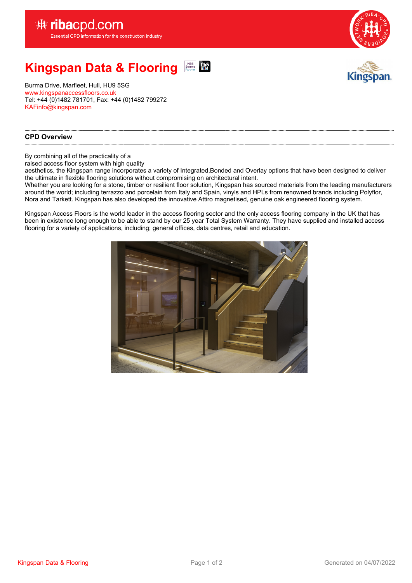

#### **Kingspan Data & Flooring** NBS<br>Source **DIM**<br>Partner **BIM**



Burma Drive, Marfleet, Hull, HU9 5SG <www.kingspanaccessfloors.co.uk> Tel: +44 (0)1482 781701, Fax: +44 (0)1482 799272 [KAFinfo@kingspan.com](mailto:KAFinfo@kingspan.com)

#### **CPD Overview**

By combining all of the practicality of <sup>a</sup>

raised access floor system with high quality

aesthetics, the Kingspan range incorporates <sup>a</sup> variety of Integrated,Bonded and Overlay options that have been designed to deliver the ultimate in flexible flooring solutions without compromising on architectural intent.

Whether you are looking for <sup>a</sup> stone, timber or resilient floor solution, Kingspan has sourced materials from the leading manufacturers around the world; including terrazzo and porcelain from Italy and Spain, vinyls and HPLs from renowned brands including Polyflor, Nora and Tarkett. Kingspan has also developed the innovative Attiro magnetised, genuine oak engineered flooring system.

Kingspan Access Floors is the world leader in the access flooring sector and the only access flooring company in the UK that has been in existence long enough to be able to stand by our 25 year Total System Warranty. They have supplied and installed access flooring for <sup>a</sup> variety of applications, including; general offices, data centres, retail and education.